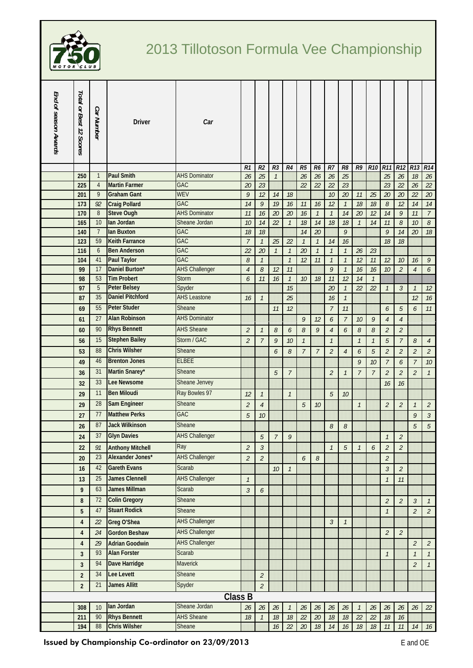

## 2013 Tillotoson Formula Vee Championship

| Total or Best 12 Scores<br>End of season Awards<br>Car Number<br>Car<br><b>Driver</b>                                                                                                                   |                                 |                                  |                                               |                             |  |  |  |  |  |
|---------------------------------------------------------------------------------------------------------------------------------------------------------------------------------------------------------|---------------------------------|----------------------------------|-----------------------------------------------|-----------------------------|--|--|--|--|--|
| R <sub>2</sub><br>R <sub>3</sub><br>R4<br>R5<br>R6<br>$R$ 7<br>R1                                                                                                                                       | R8<br>R9                        | <b>R10</b><br><b>R11</b>         | R <sub>12</sub><br>R13                        | R14                         |  |  |  |  |  |
| <b>Paul Smith</b><br>250<br>25<br>26<br>26<br>$\mathbf{1}$<br><b>AHS Dominator</b><br>26<br>26<br>$\mathcal{I}$                                                                                         | 25                              | 25                               | 26<br>18                                      | $26\,$                      |  |  |  |  |  |
| <b>Martin Farmer</b><br><b>GAC</b><br>$\overline{4}$<br>22<br>225<br>20<br>23<br>22<br>22                                                                                                               | 23                              | 23                               | 22<br>26                                      | 22                          |  |  |  |  |  |
| $\overline{9}$<br>WEV<br>9<br><b>Graham Gant</b><br>12<br>$10$<br>201<br>14<br>18<br>GAC                                                                                                                | 20<br>11                        | 25<br>20                         | 22<br>20                                      | 20                          |  |  |  |  |  |
| 173<br>14<br>9<br>19<br>12<br>92<br><b>Craig Pollard</b><br>16<br>11<br>16<br>$8\,$<br><b>Steve Ough</b><br><b>AHS Dominator</b><br>20<br>170<br>16<br>20<br>16<br>$\mathcal{I}$<br>11<br>$\mathcal{I}$ | 18<br>$\mathcal{I}$<br>20<br>14 | $18$<br>8<br>12<br>14            | 12<br>14<br>9<br>11                           | 14<br>$\overline{7}$        |  |  |  |  |  |
| 10<br>lan Jordan<br>165<br>Sheane Jordan<br>22<br>$18\,$<br>14<br>18<br>10<br>14<br>$\mathcal{I}$                                                                                                       | 18<br>$\mathcal{I}$             | 14<br>11                         | 8<br>$10$                                     | 8                           |  |  |  |  |  |
| lan Buxton<br>140<br>$\overline{7}$<br><b>GAC</b><br>18<br>14<br>20<br>18                                                                                                                               | 9                               | $\mathcal{Q}$                    | 14<br>20                                      | 18                          |  |  |  |  |  |
| 59<br><b>Keith Farrance</b><br>GAC<br>$\overline{7}$<br>123<br>$\mathcal{I}$<br>25<br>22<br>$\mathcal{I}$<br>$\mathcal{I}$<br>14                                                                        | 16                              | 18                               | 18                                            |                             |  |  |  |  |  |
| <b>Ben Anderson</b><br>GAC<br>20<br>20<br>$\mathcal{I}$<br>116<br>6<br>22<br>$\mathcal{I}$<br>$\mathcal{I}$<br>$\mathcal{I}$                                                                            | $\mathcal{I}$<br>26             | 23                               |                                               |                             |  |  |  |  |  |
| GAC<br>41<br><b>Paul Taylor</b><br>8<br>$\mathcal{I}$<br>12<br>11<br>104<br>$\mathcal{I}$<br>$\mathcal{I}$                                                                                              | 12<br>$\mathcal{I}$             | 12<br>11                         | $10$<br>16                                    | 9                           |  |  |  |  |  |
| 17<br>Daniel Burton*<br><b>AHS Challenger</b><br>11<br>$\mathcal{Q}$<br>99<br>$\overline{4}$<br>8<br>12                                                                                                 | $\mathcal{I}$<br>16             | 16<br>10                         | $\overline{2}$<br>$\overline{4}$              | 6                           |  |  |  |  |  |
| <b>Tim Probert</b><br>53<br>98<br><b>Storm</b><br>6<br>18<br>11<br>11<br>16<br>$\mathcal{I}$<br>10                                                                                                      | 12<br>14                        | $\mathcal{I}$                    |                                               |                             |  |  |  |  |  |
| 5<br>15<br><b>Peter Belsey</b><br>Spyder<br>20<br>97                                                                                                                                                    | 22<br>$\mathcal{I}$             | 22<br>$\mathcal{I}$              | $\mathfrak{Z}$<br>$\mathcal{I}$               | 12                          |  |  |  |  |  |
| 35<br><b>Daniel Pitchford</b><br><b>AHS Leastone</b><br>87<br>25<br>16<br>$\mathcal{I}$<br>16                                                                                                           | $\mathcal{I}$                   |                                  | 12                                            | 16                          |  |  |  |  |  |
| <b>Peter Studer</b><br>55<br>Sheane<br>12<br>$\overline{7}$<br>69<br>11                                                                                                                                 | 11                              | 6                                | $\sqrt{5}$<br>6                               | $11$                        |  |  |  |  |  |
| 27<br><b>Alan Robinson</b><br><b>AHS Dominator</b><br>9<br>61<br>12<br>6                                                                                                                                | $\overline{7}$<br>10            | 9<br>$\overline{4}$              | $\sqrt{4}$                                    |                             |  |  |  |  |  |
| <b>Rhys Bennett</b><br>90<br><b>AHS Sheane</b><br>$\mathcal{G}$<br>$\overline{2}$<br>$\mathcal S$<br>8<br>6<br>$\overline{4}$<br>60<br>$\mathcal{I}$                                                    | $\mathcal S$<br>6               | 8<br>$\overline{2}$              | $\overline{a}$                                |                             |  |  |  |  |  |
| Storm / GAC<br>15<br><b>Stephen Bailey</b><br>$\overline{2}$<br>$\overline{7}$<br>9<br>$\mathcal{I}$<br>56<br>10<br>$\mathcal{I}$                                                                       | $\mathcal{I}$                   | 5<br>$\mathcal{I}$               | $\overline{7}$<br>8                           | $\overline{4}$              |  |  |  |  |  |
| 88<br><b>Chris Wilsher</b><br>Sheane<br>$\overline{2}$<br>8<br>$\overline{7}$<br>$\overline{7}$<br>53<br>6                                                                                              | 6<br>$\overline{4}$             | $\overline{2}$<br>5              | $\mathcal{L}_{\mathcal{L}}$<br>$\overline{2}$ | $\mathfrak{2}$              |  |  |  |  |  |
| <b>Brenton Jones</b><br><b>ELBEE</b><br>46<br>49                                                                                                                                                        | 9                               | 10<br>$\overline{7}$             | 6                                             | $\overline{7}$<br>10        |  |  |  |  |  |
| Martin Snarey*<br>31<br>Sheane<br>36<br>5<br>$\overline{7}$<br>$\overline{2}$                                                                                                                           | $\overline{7}$<br>$\mathcal{I}$ | $\overline{7}$<br>$\overline{2}$ | $\mathcal{L}_{\mathcal{L}}$<br>$\overline{2}$ | $\mathcal{I}$               |  |  |  |  |  |
| 33<br><b>Lee Newsome</b><br>Sheane Jenvey<br>32                                                                                                                                                         |                                 | 16                               | 16                                            |                             |  |  |  |  |  |
| <b>Ben Miloudi</b><br>Ray Bowles 97<br>11<br>29<br>5<br>12<br>$\mathcal{I}$<br>$\mathcal{I}$                                                                                                            | 10                              |                                  |                                               |                             |  |  |  |  |  |
| 28<br>Sam Engineer<br>Sheane<br>$\overline{2}$<br>5<br>29<br>$\overline{4}$<br>10                                                                                                                       | $\mathcal{I}$                   | $\overline{2}$                   | $\overline{2}$<br>$\mathcal{I}$               | $\mathfrak{2}$              |  |  |  |  |  |
| <b>Matthew Perks</b><br>77<br><b>GAC</b>                                                                                                                                                                |                                 |                                  |                                               | 9                           |  |  |  |  |  |
| 5<br>27<br>10<br>87<br><b>Jack Wilkinson</b><br>Sheane                                                                                                                                                  |                                 |                                  |                                               | $\mathfrak{Z}$              |  |  |  |  |  |
| 26<br>8<br><b>Glyn Davies</b><br><b>AHS Challenger</b><br>37                                                                                                                                            | 8                               |                                  | 5                                             | $\sqrt{5}$                  |  |  |  |  |  |
| 9<br>24<br>$\overline{5}$<br>$\overline{7}$                                                                                                                                                             |                                 | $\mathcal{I}$                    | $\mathcal{L}_{\mathcal{L}}$                   |                             |  |  |  |  |  |
| <b>Anthony Mitchell</b><br>Ray<br>22<br>91<br>$\overline{2}$<br>$\mathfrak{Z}$<br>$\mathcal{I}$                                                                                                         | 5<br>$\mathcal{I}$              | $\overline{2}$<br>6              | $\overline{a}$                                |                             |  |  |  |  |  |
| Alexander Jones*<br><b>AHS Challenger</b><br>23<br>20<br>$\overline{2}$<br>$\overline{2}$<br>6<br>8                                                                                                     |                                 | $\overline{2}$                   |                                               |                             |  |  |  |  |  |
| <b>Gareth Evans</b><br>Scarab<br>42<br>$\mathcal{I}$<br>16<br>10                                                                                                                                        |                                 | $\mathfrak{Z}$                   | $\overline{2}$                                |                             |  |  |  |  |  |
| <b>James Clennell</b><br><b>AHS Challenger</b><br>25<br>$\mathcal{I}$<br>13                                                                                                                             |                                 | $\mathcal{I}$                    | 11                                            |                             |  |  |  |  |  |
| <b>James Millman</b><br>63<br>Scarab<br>$\mathfrak{Z}$<br>9<br>6                                                                                                                                        |                                 |                                  |                                               |                             |  |  |  |  |  |
| <b>Colin Gregory</b><br>72<br>Sheane<br>8                                                                                                                                                               |                                 | $\overline{2}$                   | $\overline{2}$<br>$\mathfrak{Z}$              | $\mathcal{I}$               |  |  |  |  |  |
| <b>Stuart Rodick</b><br>47<br>Sheane<br>5                                                                                                                                                               |                                 | $\mathcal{I}$                    | $\overline{2}$                                | $\overline{2}$              |  |  |  |  |  |
| <b>AHS Challenger</b><br>Greg O'Shea<br>4<br>$\mathfrak{Z}$<br>22                                                                                                                                       | $\mathcal{I}$                   |                                  |                                               |                             |  |  |  |  |  |
| <b>AHS Challenger</b><br><b>Gordon Beshaw</b><br>4<br>24                                                                                                                                                |                                 | $\overline{2}$                   | $\overline{2}$                                |                             |  |  |  |  |  |
| <b>AHS Challenger</b><br><b>Adrian Goodwin</b><br>$2\mathcal{G}$<br>4                                                                                                                                   |                                 |                                  | $\overline{2}$                                | $\mathcal{L}_{\mathcal{L}}$ |  |  |  |  |  |
| <b>Alan Forster</b><br>93<br>Scarab<br>$\overline{3}$                                                                                                                                                   |                                 | $\mathcal{I}$                    | $\mathcal{I}$                                 | $\mathcal{I}$               |  |  |  |  |  |
| Dave Harridge<br>Maverick<br>94<br>3                                                                                                                                                                    |                                 |                                  | $\overline{2}$                                | $\mathcal{I}$               |  |  |  |  |  |
| Lee Levett<br>34<br>Sheane<br>$\overline{2}$<br>$\overline{2}$                                                                                                                                          |                                 |                                  |                                               |                             |  |  |  |  |  |
| <b>James Allitt</b><br>21<br>Spyder<br>$\overline{2}$<br>$\overline{2}$                                                                                                                                 |                                 |                                  |                                               |                             |  |  |  |  |  |
| <b>Class B</b>                                                                                                                                                                                          |                                 |                                  |                                               |                             |  |  |  |  |  |
| lan Jordan<br>Sheane Jordan<br>308<br>10<br>$26\,$<br>26<br>26<br>26<br>$26\,$<br>26<br>$\mathcal{I}$<br>26<br>26<br>26<br>26<br>22<br>26<br>$\mathcal{I}$                                              |                                 |                                  |                                               |                             |  |  |  |  |  |
| <b>Rhys Bennett</b><br><b>AHS Sheane</b><br>90<br>18<br>22<br>20<br>211<br>$18$<br>18<br>$18$<br>$\mathcal{I}$                                                                                          | 22<br>$18$                      | 22<br>18                         | 16                                            |                             |  |  |  |  |  |
| <b>Chris Wilsher</b><br>88<br>Sheane<br>194<br>22<br>$20\,$<br>$18$<br>16<br>14                                                                                                                         | $16\,$<br>$18\,$                | $18$<br>$11$                     | $\it 11$<br>14                                | 16                          |  |  |  |  |  |